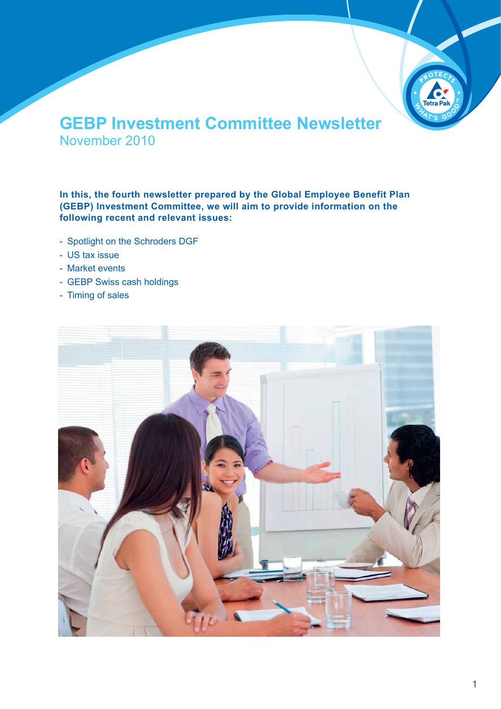

## **GEBP Investment Committee Newsletter** November 2010

**In this, the fourth newsletter prepared by the Global Employee Benefit Plan (GEBP) Investment Committee, we will aim to provide information on the following recent and relevant issues:**

- Spotlight on the Schroders DGF
- US tax issue
- Market events
- GEBP Swiss cash holdings
- Timing of sales

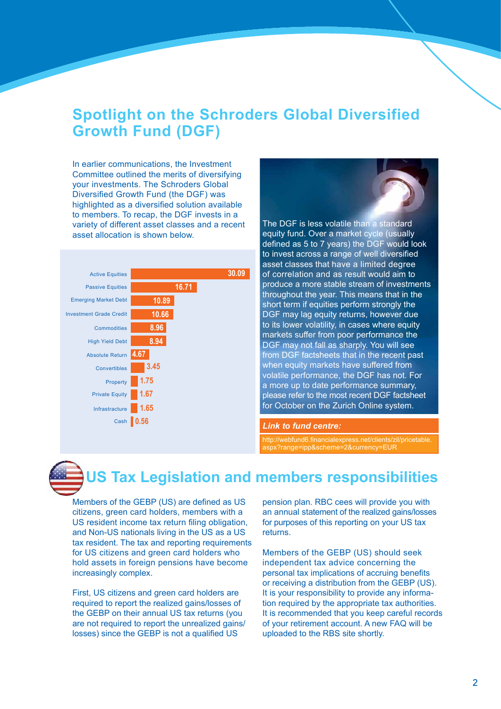## **Spotlight on the Schroders Global Diversified Growth Fund (DGF)**

In earlier communications, the Investment Committee outlined the merits of diversifying your investments. The Schroders Global Diversified Growth Fund (the DGF) was highlighted as a diversified solution available to members. To recap, the DGF invests in a variety of different asset classes and a recent asset allocation is shown below.





The DGF is less volatile than a standard equity fund. Over a market cycle (usually defined as 5 to 7 years) the DGF would look to invest across a range of well diversified asset classes that have a limited degree of correlation and as result would aim to produce a more stable stream of investments throughout the year. This means that in the short term if equities perform strongly the DGF may lag equity returns, however due to its lower volatility, in cases where equity markets suffer from poor performance the DGF may not fall as sharply. You will see from DGF factsheets that in the recent past when equity markets have suffered from volatile performance, the DGF has not. For a more up to date performance summary, please refer to the most recent DGF factsheet for October on the Zurich Online system.

#### *Link to fund centre:*

http://webfund6.financialexpress.net/clients/zil/pricetable. aspx?range=ipp&scheme=2&currency=EUR

# **US Tax Legislation and members responsibilities**

Members of the GEBP (US) are defined as US citizens, green card holders, members with a US resident income tax return filing obligation, and Non-US nationals living in the US as a US tax resident. The tax and reporting requirements for US citizens and green card holders who hold assets in foreign pensions have become increasingly complex.

First, US citizens and green card holders are required to report the realized gains/losses of the GEBP on their annual US tax returns (you are not required to report the unrealized gains/ losses) since the GEBP is not a qualified US

pension plan. RBC cees will provide you with an annual statement of the realized gains/losses for purposes of this reporting on your US tax returns.

Members of the GEBP (US) should seek independent tax advice concerning the personal tax implications of accruing benefits or receiving a distribution from the GEBP (US). It is your responsibility to provide any information required by the appropriate tax authorities. It is recommended that you keep careful records of your retirement account. A new FAQ will be uploaded to the RBS site shortly.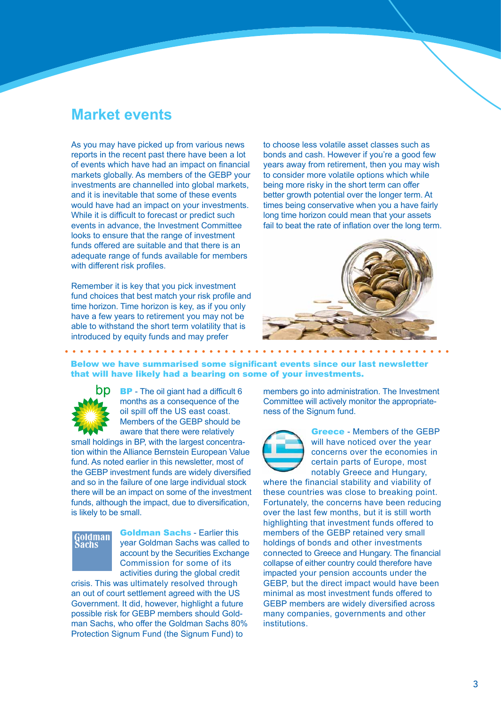#### **Market events**

As you may have picked up from various news reports in the recent past there have been a lot of events which have had an impact on financial markets globally. As members of the GEBP your investments are channelled into global markets, and it is inevitable that some of these events would have had an impact on your investments. While it is difficult to forecast or predict such events in advance, the Investment Committee looks to ensure that the range of investment funds offered are suitable and that there is an adequate range of funds available for members with different risk profiles.

Remember it is key that you pick investment fund choices that best match your risk profile and time horizon. Time horizon is key, as if you only have a few years to retirement you may not be able to withstand the short term volatility that is introduced by equity funds and may prefer

to choose less volatile asset classes such as bonds and cash. However if you're a good few years away from retirement, then you may wish to consider more volatile options which while being more risky in the short term can offer better growth potential over the longer term. At times being conservative when you a have fairly long time horizon could mean that your assets fail to beat the rate of inflation over the long term.



#### Below we have summarised some significant events since our last newsletter that will have likely had a bearing on some of your investments.



**BP** - The oil giant had a difficult 6 months as a consequence of the oil spill off the US east coast. Members of the GEBP should be aware that there were relatively

small holdings in BP, with the largest concentration within the Alliance Bernstein European Value fund. As noted earlier in this newsletter, most of the GEBP investment funds are widely diversified and so in the failure of one large individual stock there will be an impact on some of the investment funds, although the impact, due to diversification, is likely to be small.

# Goldman<br>Sachs

Goldman Sachs - Earlier this year Goldman Sachs was called to account by the Securities Exchange Commission for some of its activities during the global credit

crisis. This was ultimately resolved through an out of court settlement agreed with the US Government. It did, however, highlight a future possible risk for GEBP members should Goldman Sachs, who offer the Goldman Sachs 80% Protection Signum Fund (the Signum Fund) to

members go into administration. The Investment Committee will actively monitor the appropriateness of the Signum fund.



Greece - Members of the GEBP will have noticed over the year concerns over the economies in certain parts of Europe, most notably Greece and Hungary,

where the financial stability and viability of these countries was close to breaking point. Fortunately, the concerns have been reducing over the last few months, but it is still worth highlighting that investment funds offered to members of the GEBP retained very small holdings of bonds and other investments connected to Greece and Hungary. The financial collapse of either country could therefore have impacted your pension accounts under the GEBP, but the direct impact would have been minimal as most investment funds offered to GEBP members are widely diversified across many companies, governments and other institutions.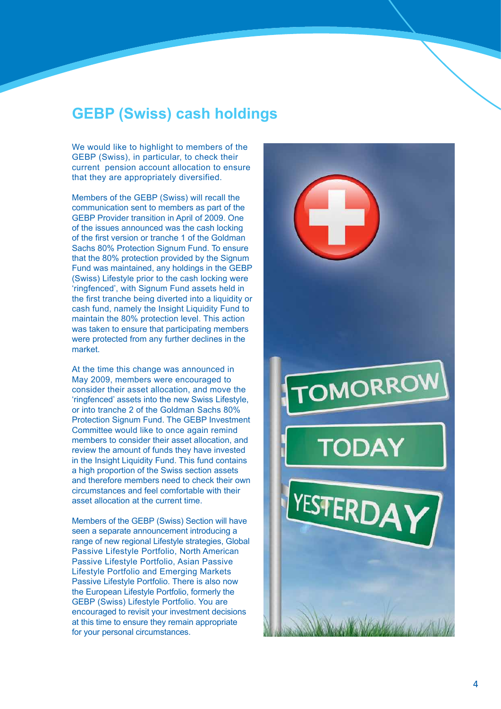### **GEBP (Swiss) cash holdings**

We would like to highlight to members of the GEBP (Swiss), in particular, to check their current pension account allocation to ensure that they are appropriately diversified.

Members of the GEBP (Swiss) will recall the communication sent to members as part of the GEBP Provider transition in April of 2009. One of the issues announced was the cash locking of the first version or tranche 1 of the Goldman Sachs 80% Protection Signum Fund. To ensure that the 80% protection provided by the Signum Fund was maintained, any holdings in the GEBP (Swiss) Lifestyle prior to the cash locking were 'ringfenced', with Signum Fund assets held in the first tranche being diverted into a liquidity or cash fund, namely the Insight Liquidity Fund to maintain the 80% protection level. This action was taken to ensure that participating members were protected from any further declines in the market.

At the time this change was announced in May 2009, members were encouraged to consider their asset allocation, and move the 'ringfenced' assets into the new Swiss Lifestyle, or into tranche 2 of the Goldman Sachs 80% Protection Signum Fund. The GEBP Investment Committee would like to once again remind members to consider their asset allocation, and review the amount of funds they have invested in the Insight Liquidity Fund. This fund contains a high proportion of the Swiss section assets and therefore members need to check their own circumstances and feel comfortable with their asset allocation at the current time.

Members of the GEBP (Swiss) Section will have seen a separate announcement introducing a range of new regional Lifestyle strategies, Global Passive Lifestyle Portfolio, North American Passive Lifestyle Portfolio, Asian Passive Lifestyle Portfolio and Emerging Markets Passive Lifestyle Portfolio. There is also now the European Lifestyle Portfolio, formerly the GEBP (Swiss) Lifestyle Portfolio. You are encouraged to revisit your investment decisions at this time to ensure they remain appropriate for your personal circumstances.